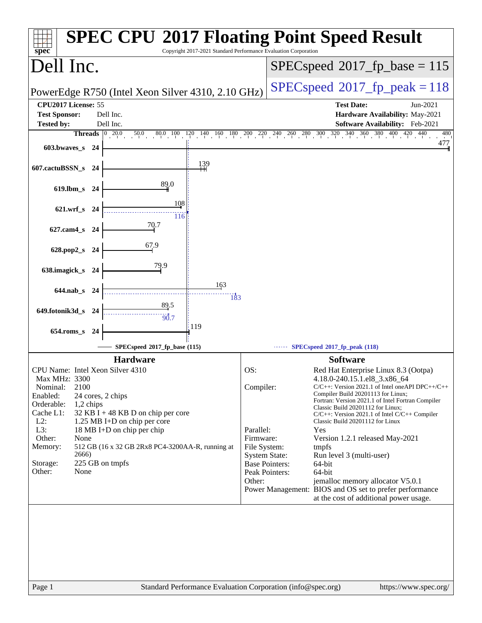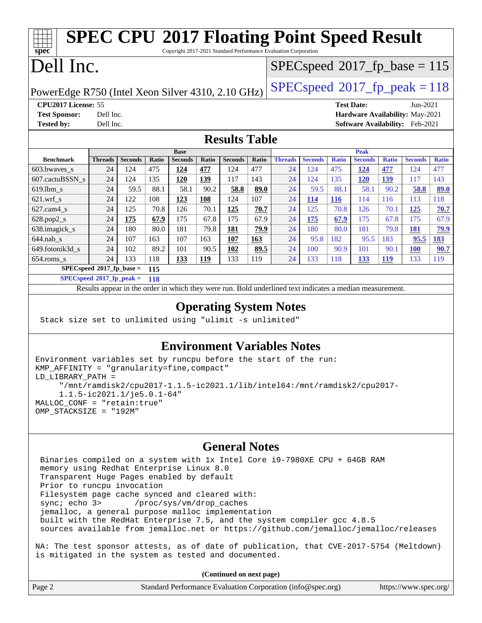#### **[spec](http://www.spec.org/) [SPEC CPU](http://www.spec.org/auto/cpu2017/Docs/result-fields.html#SPECCPU2017FloatingPointSpeedResult)[2017 Floating Point Speed Result](http://www.spec.org/auto/cpu2017/Docs/result-fields.html#SPECCPU2017FloatingPointSpeedResult)** Copyright 2017-2021 Standard Performance Evaluation Corporation Dell Inc. PowerEdge R750 (Intel Xeon Silver 4310, 2.10 GHz)  $\left|$  [SPECspeed](http://www.spec.org/auto/cpu2017/Docs/result-fields.html#SPECspeed2017fppeak)<sup>®</sup>[2017\\_fp\\_peak = 1](http://www.spec.org/auto/cpu2017/Docs/result-fields.html#SPECspeed2017fppeak)18  $SPEC speed$ <sup>®</sup> $2017$ \_fp\_base = 115 **[CPU2017 License:](http://www.spec.org/auto/cpu2017/Docs/result-fields.html#CPU2017License)** 55 **[Test Date:](http://www.spec.org/auto/cpu2017/Docs/result-fields.html#TestDate)** Jun-2021 **[Test Sponsor:](http://www.spec.org/auto/cpu2017/Docs/result-fields.html#TestSponsor)** Dell Inc. **[Hardware Availability:](http://www.spec.org/auto/cpu2017/Docs/result-fields.html#HardwareAvailability)** May-2021 **[Tested by:](http://www.spec.org/auto/cpu2017/Docs/result-fields.html#Testedby)** Dell Inc. **[Software Availability:](http://www.spec.org/auto/cpu2017/Docs/result-fields.html#SoftwareAvailability)** Feb-2021 **[Results Table](http://www.spec.org/auto/cpu2017/Docs/result-fields.html#ResultsTable) [Benchmark](http://www.spec.org/auto/cpu2017/Docs/result-fields.html#Benchmark) [Threads](http://www.spec.org/auto/cpu2017/Docs/result-fields.html#Threads) [Seconds](http://www.spec.org/auto/cpu2017/Docs/result-fields.html#Seconds) [Ratio](http://www.spec.org/auto/cpu2017/Docs/result-fields.html#Ratio) [Seconds](http://www.spec.org/auto/cpu2017/Docs/result-fields.html#Seconds) [Ratio](http://www.spec.org/auto/cpu2017/Docs/result-fields.html#Ratio) [Seconds](http://www.spec.org/auto/cpu2017/Docs/result-fields.html#Seconds) [Ratio](http://www.spec.org/auto/cpu2017/Docs/result-fields.html#Ratio) Base [Threads](http://www.spec.org/auto/cpu2017/Docs/result-fields.html#Threads) [Seconds](http://www.spec.org/auto/cpu2017/Docs/result-fields.html#Seconds) [Ratio](http://www.spec.org/auto/cpu2017/Docs/result-fields.html#Ratio) [Seconds](http://www.spec.org/auto/cpu2017/Docs/result-fields.html#Seconds) [Ratio](http://www.spec.org/auto/cpu2017/Docs/result-fields.html#Ratio) [Seconds](http://www.spec.org/auto/cpu2017/Docs/result-fields.html#Seconds) [Ratio](http://www.spec.org/auto/cpu2017/Docs/result-fields.html#Ratio) Peak** [603.bwaves\\_s](http://www.spec.org/auto/cpu2017/Docs/benchmarks/603.bwaves_s.html) 24 124 475 **[124](http://www.spec.org/auto/cpu2017/Docs/result-fields.html#Median) [477](http://www.spec.org/auto/cpu2017/Docs/result-fields.html#Median)** 124 477 24 124 475 **[124](http://www.spec.org/auto/cpu2017/Docs/result-fields.html#Median) [477](http://www.spec.org/auto/cpu2017/Docs/result-fields.html#Median)** 124 477 [607.cactuBSSN\\_s](http://www.spec.org/auto/cpu2017/Docs/benchmarks/607.cactuBSSN_s.html) 24 124 135 **[120](http://www.spec.org/auto/cpu2017/Docs/result-fields.html#Median) [139](http://www.spec.org/auto/cpu2017/Docs/result-fields.html#Median)** 117 143 24 124 135 **[120](http://www.spec.org/auto/cpu2017/Docs/result-fields.html#Median) [139](http://www.spec.org/auto/cpu2017/Docs/result-fields.html#Median)** 117 143 [619.lbm\\_s](http://www.spec.org/auto/cpu2017/Docs/benchmarks/619.lbm_s.html) 24 59.5 88.1 58.1 90.2 **[58.8](http://www.spec.org/auto/cpu2017/Docs/result-fields.html#Median) [89.0](http://www.spec.org/auto/cpu2017/Docs/result-fields.html#Median)** 24 59.5 88.1 58.1 90.2 **[58.8](http://www.spec.org/auto/cpu2017/Docs/result-fields.html#Median) [89.0](http://www.spec.org/auto/cpu2017/Docs/result-fields.html#Median)** [621.wrf\\_s](http://www.spec.org/auto/cpu2017/Docs/benchmarks/621.wrf_s.html) 24 122 108 **[123](http://www.spec.org/auto/cpu2017/Docs/result-fields.html#Median) [108](http://www.spec.org/auto/cpu2017/Docs/result-fields.html#Median)** 124 107 24 **[114](http://www.spec.org/auto/cpu2017/Docs/result-fields.html#Median) [116](http://www.spec.org/auto/cpu2017/Docs/result-fields.html#Median)** 114 116 113 118 [627.cam4\\_s](http://www.spec.org/auto/cpu2017/Docs/benchmarks/627.cam4_s.html) 24 125 70.8 126 70.1 **[125](http://www.spec.org/auto/cpu2017/Docs/result-fields.html#Median) [70.7](http://www.spec.org/auto/cpu2017/Docs/result-fields.html#Median)** 24 125 70.8 126 70.1 **[125](http://www.spec.org/auto/cpu2017/Docs/result-fields.html#Median) [70.7](http://www.spec.org/auto/cpu2017/Docs/result-fields.html#Median)** [628.pop2\\_s](http://www.spec.org/auto/cpu2017/Docs/benchmarks/628.pop2_s.html) 24 **[175](http://www.spec.org/auto/cpu2017/Docs/result-fields.html#Median) [67.9](http://www.spec.org/auto/cpu2017/Docs/result-fields.html#Median)** 175 67.8 175 67.9 24 **[175](http://www.spec.org/auto/cpu2017/Docs/result-fields.html#Median) [67.9](http://www.spec.org/auto/cpu2017/Docs/result-fields.html#Median)** 175 67.8 175 67.9 [638.imagick\\_s](http://www.spec.org/auto/cpu2017/Docs/benchmarks/638.imagick_s.html) 24 180 80.0 181 79.8 **[181](http://www.spec.org/auto/cpu2017/Docs/result-fields.html#Median) [79.9](http://www.spec.org/auto/cpu2017/Docs/result-fields.html#Median)** 24 180 80.0 181 79.8 **[181](http://www.spec.org/auto/cpu2017/Docs/result-fields.html#Median) [79.9](http://www.spec.org/auto/cpu2017/Docs/result-fields.html#Median)** [644.nab\\_s](http://www.spec.org/auto/cpu2017/Docs/benchmarks/644.nab_s.html) 24 107 163 107 163 **[107](http://www.spec.org/auto/cpu2017/Docs/result-fields.html#Median) [163](http://www.spec.org/auto/cpu2017/Docs/result-fields.html#Median)** 24 95.8 182 95.5 183 **[95.5](http://www.spec.org/auto/cpu2017/Docs/result-fields.html#Median) [183](http://www.spec.org/auto/cpu2017/Docs/result-fields.html#Median)** [649.fotonik3d\\_s](http://www.spec.org/auto/cpu2017/Docs/benchmarks/649.fotonik3d_s.html) 24 102 89.2 101 90.5 **[102](http://www.spec.org/auto/cpu2017/Docs/result-fields.html#Median) [89.5](http://www.spec.org/auto/cpu2017/Docs/result-fields.html#Median)** 24 100 90.9 101 90.1 **[100](http://www.spec.org/auto/cpu2017/Docs/result-fields.html#Median) [90.7](http://www.spec.org/auto/cpu2017/Docs/result-fields.html#Median)** [654.roms\\_s](http://www.spec.org/auto/cpu2017/Docs/benchmarks/654.roms_s.html) 24 133 118 **[133](http://www.spec.org/auto/cpu2017/Docs/result-fields.html#Median) [119](http://www.spec.org/auto/cpu2017/Docs/result-fields.html#Median)** 133 119 24 133 118 **[133](http://www.spec.org/auto/cpu2017/Docs/result-fields.html#Median) [119](http://www.spec.org/auto/cpu2017/Docs/result-fields.html#Median)** 133 119 **[SPECspeed](http://www.spec.org/auto/cpu2017/Docs/result-fields.html#SPECspeed2017fpbase)[2017\\_fp\\_base =](http://www.spec.org/auto/cpu2017/Docs/result-fields.html#SPECspeed2017fpbase) 115 [SPECspeed](http://www.spec.org/auto/cpu2017/Docs/result-fields.html#SPECspeed2017fppeak)[2017\\_fp\\_peak =](http://www.spec.org/auto/cpu2017/Docs/result-fields.html#SPECspeed2017fppeak) 118**

#### Results appear in the [order in which they were run.](http://www.spec.org/auto/cpu2017/Docs/result-fields.html#RunOrder) Bold underlined text [indicates a median measurement](http://www.spec.org/auto/cpu2017/Docs/result-fields.html#Median).

#### **[Operating System Notes](http://www.spec.org/auto/cpu2017/Docs/result-fields.html#OperatingSystemNotes)**

Stack size set to unlimited using "ulimit -s unlimited"

### **[Environment Variables Notes](http://www.spec.org/auto/cpu2017/Docs/result-fields.html#EnvironmentVariablesNotes)**

```
Environment variables set by runcpu before the start of the run:
KMP_AFFINITY = "granularity=fine,compact"
LD_LIBRARY_PATH =
      "/mnt/ramdisk2/cpu2017-1.1.5-ic2021.1/lib/intel64:/mnt/ramdisk2/cpu2017-
      1.1.5-ic2021.1/je5.0.1-64"
MALLOC_CONF = "retain:true"
OMP_STACKSIZE = "192M"
```
#### **[General Notes](http://www.spec.org/auto/cpu2017/Docs/result-fields.html#GeneralNotes)**

 Binaries compiled on a system with 1x Intel Core i9-7980XE CPU + 64GB RAM memory using Redhat Enterprise Linux 8.0 Transparent Huge Pages enabled by default Prior to runcpu invocation Filesystem page cache synced and cleared with: sync; echo 3> /proc/sys/vm/drop\_caches jemalloc, a general purpose malloc implementation built with the RedHat Enterprise 7.5, and the system compiler gcc 4.8.5 sources available from jemalloc.net or <https://github.com/jemalloc/jemalloc/releases>

NA: The test sponsor attests, as of date of publication, that CVE-2017-5754 (Meltdown) is mitigated in the system as tested and documented.

**(Continued on next page)**

| Page 2<br>Standard Performance Evaluation Corporation (info@spec.org) | https://www.spec.org/ |
|-----------------------------------------------------------------------|-----------------------|
|-----------------------------------------------------------------------|-----------------------|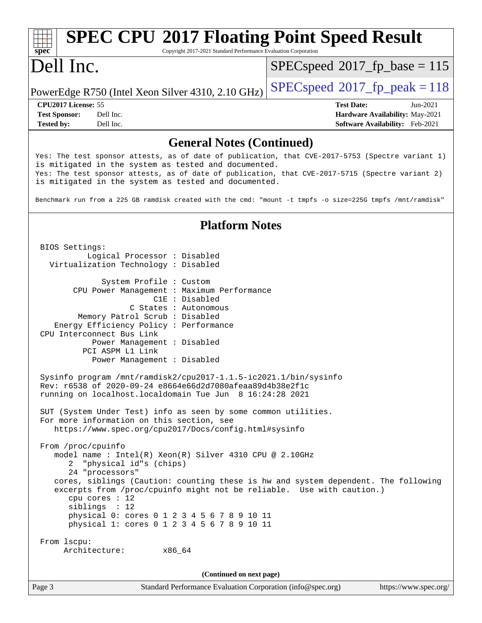#### **[spec](http://www.spec.org/) [SPEC CPU](http://www.spec.org/auto/cpu2017/Docs/result-fields.html#SPECCPU2017FloatingPointSpeedResult)[2017 Floating Point Speed Result](http://www.spec.org/auto/cpu2017/Docs/result-fields.html#SPECCPU2017FloatingPointSpeedResult)** Copyright 2017-2021 Standard Performance Evaluation Corporation Dell Inc. PowerEdge R750 (Intel Xeon Silver 4310, 2.10 GHz)  $\left|$  [SPECspeed](http://www.spec.org/auto/cpu2017/Docs/result-fields.html#SPECspeed2017fppeak)<sup>®</sup>[2017\\_fp\\_peak = 1](http://www.spec.org/auto/cpu2017/Docs/result-fields.html#SPECspeed2017fppeak)18  $SPEC speed$ <sup>®</sup>[2017\\_fp\\_base = 1](http://www.spec.org/auto/cpu2017/Docs/result-fields.html#SPECspeed2017fpbase)15 **[CPU2017 License:](http://www.spec.org/auto/cpu2017/Docs/result-fields.html#CPU2017License)** 55 **[Test Date:](http://www.spec.org/auto/cpu2017/Docs/result-fields.html#TestDate)** Jun-2021 **[Test Sponsor:](http://www.spec.org/auto/cpu2017/Docs/result-fields.html#TestSponsor)** Dell Inc. **[Hardware Availability:](http://www.spec.org/auto/cpu2017/Docs/result-fields.html#HardwareAvailability)** May-2021 **[Tested by:](http://www.spec.org/auto/cpu2017/Docs/result-fields.html#Testedby)** Dell Inc. **[Software Availability:](http://www.spec.org/auto/cpu2017/Docs/result-fields.html#SoftwareAvailability)** Feb-2021 **[General Notes \(Continued\)](http://www.spec.org/auto/cpu2017/Docs/result-fields.html#GeneralNotes)** Yes: The test sponsor attests, as of date of publication, that CVE-2017-5753 (Spectre variant 1) is mitigated in the system as tested and documented. Yes: The test sponsor attests, as of date of publication, that CVE-2017-5715 (Spectre variant 2) is mitigated in the system as tested and documented. Benchmark run from a 225 GB ramdisk created with the cmd: "mount -t tmpfs -o size=225G tmpfs /mnt/ramdisk" **[Platform Notes](http://www.spec.org/auto/cpu2017/Docs/result-fields.html#PlatformNotes)** BIOS Settings: Logical Processor : Disabled Virtualization Technology : Disabled System Profile : Custom CPU Power Management : Maximum Performance C1E : Disabled C States : Autonomous Memory Patrol Scrub : Disabled Energy Efficiency Policy : Performance CPU Interconnect Bus Link Power Management : Disabled PCI ASPM L1 Link Power Management : Disabled Sysinfo program /mnt/ramdisk2/cpu2017-1.1.5-ic2021.1/bin/sysinfo Rev: r6538 of 2020-09-24 e8664e66d2d7080afeaa89d4b38e2f1c running on localhost.localdomain Tue Jun 8 16:24:28 2021 SUT (System Under Test) info as seen by some common utilities. For more information on this section, see <https://www.spec.org/cpu2017/Docs/config.html#sysinfo> From /proc/cpuinfo model name : Intel(R) Xeon(R) Silver 4310 CPU @ 2.10GHz 2 "physical id"s (chips) 24 "processors" cores, siblings (Caution: counting these is hw and system dependent. The following excerpts from /proc/cpuinfo might not be reliable. Use with caution.) cpu cores : 12 siblings : 12 physical 0: cores 0 1 2 3 4 5 6 7 8 9 10 11 physical 1: cores 0 1 2 3 4 5 6 7 8 9 10 11 From lscpu: Architecture: x86\_64 **(Continued on next page)**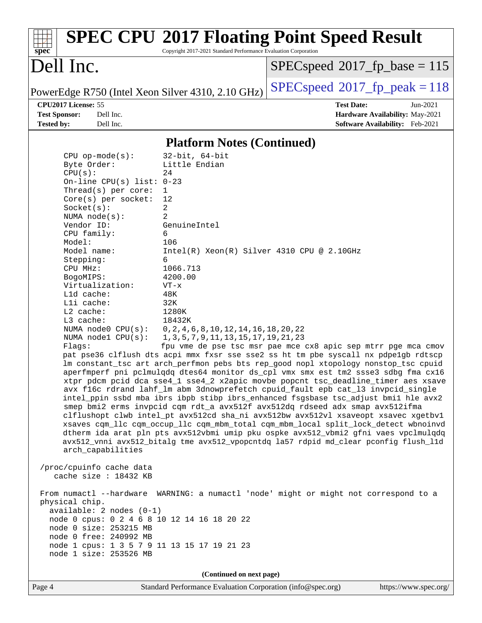| spec <sup>®</sup>                                 | Copyright 2017-2021 Standard Performance Evaluation Corporation | <b>SPEC CPU®2017 Floating Point Speed Result</b>                                     |
|---------------------------------------------------|-----------------------------------------------------------------|--------------------------------------------------------------------------------------|
| Dell Inc.                                         |                                                                 | $SPEC speed^{\circ}2017\_fp\_base = 115$                                             |
| PowerEdge R750 (Intel Xeon Silver 4310, 2.10 GHz) |                                                                 | $SPEC speed^{\circ}2017$ _fp_peak = 118                                              |
| CPU2017 License: 55                               |                                                                 | <b>Test Date:</b><br>Jun-2021                                                        |
| <b>Test Sponsor:</b><br>Dell Inc.                 |                                                                 | Hardware Availability: May-2021                                                      |
| <b>Tested by:</b><br>Dell Inc.                    |                                                                 | Software Availability: Feb-2021                                                      |
|                                                   | <b>Platform Notes (Continued)</b>                               |                                                                                      |
| $CPU$ op-mode( $s$ ):                             | $32$ -bit, $64$ -bit                                            |                                                                                      |
| Byte Order:                                       | Little Endian                                                   |                                                                                      |
| CPU(s):                                           | 24                                                              |                                                                                      |
| On-line CPU(s) list: $0-23$                       |                                                                 |                                                                                      |
| Thread(s) per core:                               | $\mathbf{1}$                                                    |                                                                                      |
| Core(s) per socket:                               | 12                                                              |                                                                                      |
| Socket(s):                                        | 2                                                               |                                                                                      |
| NUMA $node(s):$                                   | 2                                                               |                                                                                      |
| Vendor ID:                                        | GenuineIntel                                                    |                                                                                      |
| CPU family:                                       | 6                                                               |                                                                                      |
| Model:                                            | 106                                                             |                                                                                      |
| Model name:                                       | $Intel(R) Xeon(R) Silver 4310 CPU @ 2.10GHz$                    |                                                                                      |
| Stepping:                                         | 6                                                               |                                                                                      |
| CPU MHz:                                          | 1066.713                                                        |                                                                                      |
| BogoMIPS:                                         | 4200.00                                                         |                                                                                      |
| Virtualization:<br>L1d cache:                     | $VT - x$<br>48K                                                 |                                                                                      |
| Lli cache:                                        | 32K                                                             |                                                                                      |
| $L2$ cache:                                       | 1280K                                                           |                                                                                      |
| L3 cache:                                         | 18432K                                                          |                                                                                      |
| NUMA node0 CPU(s):                                | 0, 2, 4, 6, 8, 10, 12, 14, 16, 18, 20, 22                       |                                                                                      |
| NUMA nodel $CPU(s):$                              | 1, 3, 5, 7, 9, 11, 13, 15, 17, 19, 21, 23                       |                                                                                      |
| Flags:                                            |                                                                 | fpu vme de pse tsc msr pae mce cx8 apic sep mtrr pge mca cmov                        |
|                                                   |                                                                 | pat pse36 clflush dts acpi mmx fxsr sse sse2 ss ht tm pbe syscall nx pdpe1gb rdtscp  |
|                                                   |                                                                 | lm constant_tsc art arch_perfmon pebs bts rep_good nopl xtopology nonstop_tsc cpuid  |
|                                                   |                                                                 | aperfmperf pni pclmulqdq dtes64 monitor ds_cpl vmx smx est tm2 ssse3 sdbg fma cx16   |
|                                                   |                                                                 | xtpr pdcm pcid dca sse4_1 sse4_2 x2apic movbe popcnt tsc_deadline_timer aes xsave    |
|                                                   |                                                                 | avx f16c rdrand lahf_lm abm 3dnowprefetch cpuid_fault epb cat_13 invpcid_single      |
|                                                   |                                                                 | intel_ppin ssbd mba ibrs ibpb stibp ibrs_enhanced fsgsbase tsc_adjust bmil hle avx2  |
|                                                   |                                                                 | smep bmi2 erms invpcid cqm rdt_a avx512f avx512dq rdseed adx smap avx512ifma         |
|                                                   |                                                                 | clflushopt clwb intel_pt avx512cd sha_ni avx512bw avx512vl xsaveopt xsavec xgetbvl   |
|                                                   |                                                                 | xsaves cqm_llc cqm_occup_llc cqm_mbm_total cqm_mbm_local split_lock_detect wbnoinvd  |
|                                                   |                                                                 | dtherm ida arat pln pts avx512vbmi umip pku ospke avx512_vbmi2 gfni vaes vpclmulqdq  |
|                                                   |                                                                 | avx512_vnni avx512_bitalg tme avx512_vpopcntdq la57 rdpid md_clear pconfig flush_l1d |
| arch_capabilities                                 |                                                                 |                                                                                      |
| /proc/cpuinfo cache data                          |                                                                 |                                                                                      |
| cache size : 18432 KB                             |                                                                 |                                                                                      |
|                                                   |                                                                 |                                                                                      |
|                                                   |                                                                 | From numactl --hardware WARNING: a numactl 'node' might or might not correspond to a |
| physical chip.                                    |                                                                 |                                                                                      |
| $available: 2 nodes (0-1)$                        |                                                                 |                                                                                      |
| node 0 cpus: 0 2 4 6 8 10 12 14 16 18 20 22       |                                                                 |                                                                                      |
| node 0 size: 253215 MB                            |                                                                 |                                                                                      |
| node 0 free: 240992 MB                            |                                                                 |                                                                                      |
| node 1 cpus: 1 3 5 7 9 11 13 15 17 19 21 23       |                                                                 |                                                                                      |
| node 1 size: 253526 MB                            |                                                                 |                                                                                      |
|                                                   |                                                                 |                                                                                      |
|                                                   | (Continued on next page)                                        |                                                                                      |
|                                                   |                                                                 |                                                                                      |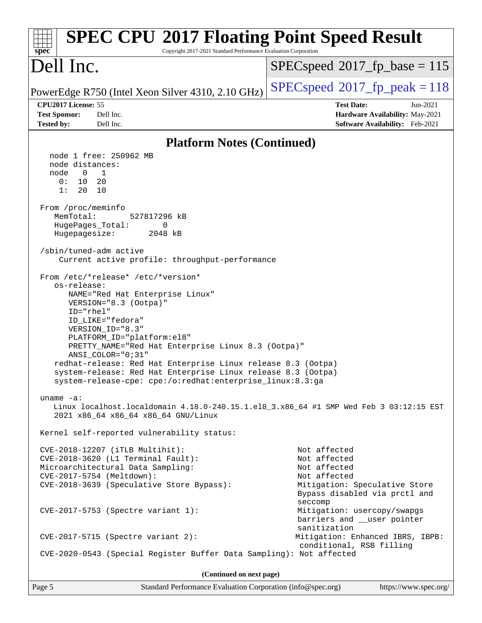| <b>SPEC CPU®2017 Floating Point Speed Result</b><br>Copyright 2017-2021 Standard Performance Evaluation Corporation<br>$spec^*$                                                                                                                                                                                                                                                                                                                                                                                                                                                                                                                                                                                                                                                                                                                                                                                                                                                                                                                                                                                                                                                                                                                                                                                                                                      |                                                                                                                                                                                                                                                                                         |  |  |  |
|----------------------------------------------------------------------------------------------------------------------------------------------------------------------------------------------------------------------------------------------------------------------------------------------------------------------------------------------------------------------------------------------------------------------------------------------------------------------------------------------------------------------------------------------------------------------------------------------------------------------------------------------------------------------------------------------------------------------------------------------------------------------------------------------------------------------------------------------------------------------------------------------------------------------------------------------------------------------------------------------------------------------------------------------------------------------------------------------------------------------------------------------------------------------------------------------------------------------------------------------------------------------------------------------------------------------------------------------------------------------|-----------------------------------------------------------------------------------------------------------------------------------------------------------------------------------------------------------------------------------------------------------------------------------------|--|--|--|
| Dell Inc.                                                                                                                                                                                                                                                                                                                                                                                                                                                                                                                                                                                                                                                                                                                                                                                                                                                                                                                                                                                                                                                                                                                                                                                                                                                                                                                                                            | $SPEC speed^{\circ}2017\_fp\_base = 115$                                                                                                                                                                                                                                                |  |  |  |
| PowerEdge R750 (Intel Xeon Silver 4310, 2.10 GHz)                                                                                                                                                                                                                                                                                                                                                                                                                                                                                                                                                                                                                                                                                                                                                                                                                                                                                                                                                                                                                                                                                                                                                                                                                                                                                                                    | $SPEC speed^{\circ}2017$ fp peak = 118                                                                                                                                                                                                                                                  |  |  |  |
| CPU2017 License: 55<br><b>Test Sponsor:</b><br>Dell Inc.<br>Dell Inc.<br><b>Tested by:</b>                                                                                                                                                                                                                                                                                                                                                                                                                                                                                                                                                                                                                                                                                                                                                                                                                                                                                                                                                                                                                                                                                                                                                                                                                                                                           | <b>Test Date:</b><br>Jun-2021<br>Hardware Availability: May-2021<br>Software Availability: Feb-2021                                                                                                                                                                                     |  |  |  |
| <b>Platform Notes (Continued)</b>                                                                                                                                                                                                                                                                                                                                                                                                                                                                                                                                                                                                                                                                                                                                                                                                                                                                                                                                                                                                                                                                                                                                                                                                                                                                                                                                    |                                                                                                                                                                                                                                                                                         |  |  |  |
| node 1 free: 250962 MB<br>node distances:<br>$\overline{0}$<br>node<br>$\mathbf{1}$<br>10<br>0 :<br>20<br>1:<br>20<br>10<br>From /proc/meminfo<br>MemTotal:<br>527817296 kB<br>HugePages_Total:<br>0<br>Hugepagesize:<br>2048 kB<br>/sbin/tuned-adm active<br>Current active profile: throughput-performance<br>From /etc/*release* /etc/*version*<br>os-release:<br>NAME="Red Hat Enterprise Linux"<br>VERSION="8.3 (Ootpa)"<br>ID="rhel"<br>ID LIKE="fedora"<br>VERSION_ID="8.3"<br>PLATFORM_ID="platform:el8"<br>PRETTY_NAME="Red Hat Enterprise Linux 8.3 (Ootpa)"<br>ANSI_COLOR="0;31"<br>redhat-release: Red Hat Enterprise Linux release 8.3 (Ootpa)<br>system-release: Red Hat Enterprise Linux release 8.3 (Ootpa)<br>system-release-cpe: cpe:/o:redhat:enterprise_linux:8.3:ga<br>uname $-a$ :<br>Linux localhost.localdomain 4.18.0-240.15.1.el8_3.x86_64 #1 SMP Wed Feb 3 03:12:15 EST<br>2021 x86 64 x86 64 x86 64 GNU/Linux<br>Kernel self-reported vulnerability status:<br>CVE-2018-12207 (iTLB Multihit):<br>$CVE-2018-3620$ (L1 Terminal Fault):<br>Microarchitectural Data Sampling:<br>CVE-2017-5754 (Meltdown):<br>CVE-2018-3639 (Speculative Store Bypass):<br>$CVE-2017-5753$ (Spectre variant 1):<br>$CVE-2017-5715$ (Spectre variant 2):<br>CVE-2020-0543 (Special Register Buffer Data Sampling): Not affected<br>(Continued on next page) | Not affected<br>Not affected<br>Not affected<br>Not affected<br>Mitigation: Speculative Store<br>Bypass disabled via prctl and<br>seccomp<br>Mitigation: usercopy/swapgs<br>barriers and __user pointer<br>sanitization<br>Mitigation: Enhanced IBRS, IBPB:<br>conditional, RSB filling |  |  |  |
|                                                                                                                                                                                                                                                                                                                                                                                                                                                                                                                                                                                                                                                                                                                                                                                                                                                                                                                                                                                                                                                                                                                                                                                                                                                                                                                                                                      |                                                                                                                                                                                                                                                                                         |  |  |  |

Page 5 Standard Performance Evaluation Corporation [\(info@spec.org\)](mailto:info@spec.org) <https://www.spec.org/>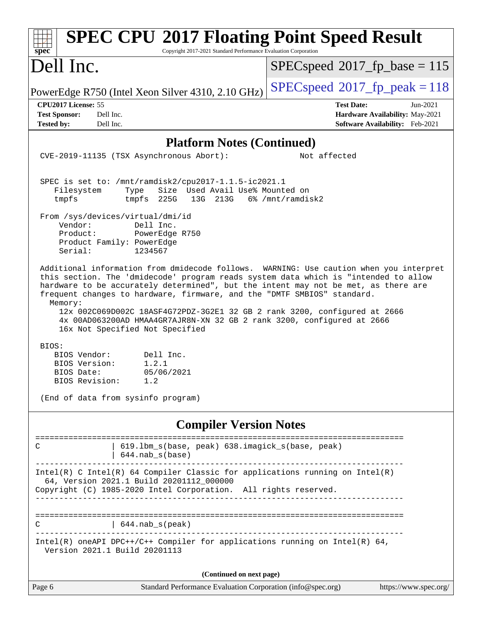| <b>SPEC CPU®2017 Floating Point Speed Result</b><br>Copyright 2017-2021 Standard Performance Evaluation Corporation<br>$spec^*$                                                                                                                                                                                                                                                                                                                                                                                                                                                                                                                 |                                                                                                       |
|-------------------------------------------------------------------------------------------------------------------------------------------------------------------------------------------------------------------------------------------------------------------------------------------------------------------------------------------------------------------------------------------------------------------------------------------------------------------------------------------------------------------------------------------------------------------------------------------------------------------------------------------------|-------------------------------------------------------------------------------------------------------|
| Dell Inc.                                                                                                                                                                                                                                                                                                                                                                                                                                                                                                                                                                                                                                       | $SPEC speed^{\circ}2017\_fp\_base = 115$                                                              |
| PowerEdge R750 (Intel Xeon Silver 4310, 2.10 GHz)                                                                                                                                                                                                                                                                                                                                                                                                                                                                                                                                                                                               | $SPEC speed^{\circ}2017$ fp peak = 118                                                                |
| CPU2017 License: 55<br><b>Test Sponsor:</b><br>Dell Inc.<br><b>Tested by:</b><br>Dell Inc.                                                                                                                                                                                                                                                                                                                                                                                                                                                                                                                                                      | <b>Test Date:</b><br>$Jun-2021$<br>Hardware Availability: May-2021<br>Software Availability: Feb-2021 |
| <b>Platform Notes (Continued)</b>                                                                                                                                                                                                                                                                                                                                                                                                                                                                                                                                                                                                               |                                                                                                       |
| CVE-2019-11135 (TSX Asynchronous Abort):                                                                                                                                                                                                                                                                                                                                                                                                                                                                                                                                                                                                        | Not affected                                                                                          |
| SPEC is set to: /mnt/ramdisk2/cpu2017-1.1.5-ic2021.1<br>Filesystem<br>Size Used Avail Use% Mounted on<br>Type<br>tmpfs 225G<br>13G 213G<br>tmpfs<br>From /sys/devices/virtual/dmi/id<br>Vendor:<br>Dell Inc.<br>Product:<br>PowerEdge R750<br>Product Family: PowerEdge<br>Serial:<br>1234567<br>Additional information from dmidecode follows. WARNING: Use caution when you interpret<br>this section. The 'dmidecode' program reads system data which is "intended to allow<br>hardware to be accurately determined", but the intent may not be met, as there are<br>frequent changes to hardware, firmware, and the "DMTF SMBIOS" standard. | 6% /mnt/ramdisk2                                                                                      |
| Memory:<br>12x 002C069D002C 18ASF4G72PDZ-3G2E1 32 GB 2 rank 3200, configured at 2666<br>4x 00AD063200AD HMAA4GR7AJR8N-XN 32 GB 2 rank 3200, configured at 2666<br>16x Not Specified Not Specified<br>BIOS:<br>BIOS Vendor:<br>Dell Inc.<br>1.2.1<br>BIOS Version:<br>BIOS Date:<br>05/06/2021<br>BIOS Revision:<br>1.2                                                                                                                                                                                                                                                                                                                          |                                                                                                       |
| (End of data from sysinfo program)                                                                                                                                                                                                                                                                                                                                                                                                                                                                                                                                                                                                              |                                                                                                       |
| <b>Compiler Version Notes</b>                                                                                                                                                                                                                                                                                                                                                                                                                                                                                                                                                                                                                   |                                                                                                       |
| 619.1bm_s(base, peak) 638.imagick_s(base, peak)<br>C<br>$644.nab_s(base)$                                                                                                                                                                                                                                                                                                                                                                                                                                                                                                                                                                       |                                                                                                       |
| Intel(R) C Intel(R) 64 Compiler Classic for applications running on Intel(R)<br>64, Version 2021.1 Build 20201112_000000<br>Copyright (C) 1985-2020 Intel Corporation. All rights reserved.                                                                                                                                                                                                                                                                                                                                                                                                                                                     |                                                                                                       |
| $644.nab_s(peak)$<br>С                                                                                                                                                                                                                                                                                                                                                                                                                                                                                                                                                                                                                          |                                                                                                       |
| Intel(R) oneAPI DPC++/C++ Compiler for applications running on Intel(R) $64$ ,<br>Version 2021.1 Build 20201113                                                                                                                                                                                                                                                                                                                                                                                                                                                                                                                                 |                                                                                                       |
| (Continued on next page)                                                                                                                                                                                                                                                                                                                                                                                                                                                                                                                                                                                                                        |                                                                                                       |
| Page 6<br>Standard Performance Evaluation Corporation (info@spec.org)                                                                                                                                                                                                                                                                                                                                                                                                                                                                                                                                                                           | https://www.spec.org/                                                                                 |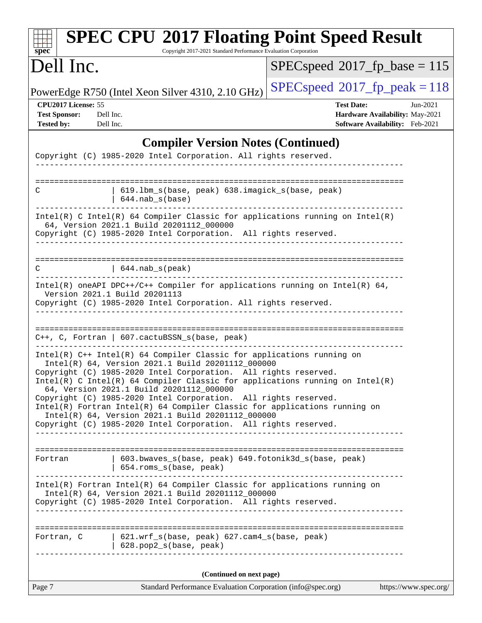| spec <sup>®</sup>                                                                          | Copyright 2017-2021 Standard Performance Evaluation Corporation                                                                                                                                                                                                                                                                                                                                                                                                                                                                                                                                                          | <b>SPEC CPU®2017 Floating Point Speed Result</b>                                                      |
|--------------------------------------------------------------------------------------------|--------------------------------------------------------------------------------------------------------------------------------------------------------------------------------------------------------------------------------------------------------------------------------------------------------------------------------------------------------------------------------------------------------------------------------------------------------------------------------------------------------------------------------------------------------------------------------------------------------------------------|-------------------------------------------------------------------------------------------------------|
| Dell Inc.                                                                                  |                                                                                                                                                                                                                                                                                                                                                                                                                                                                                                                                                                                                                          | $SPEC speed^{\circ}2017\_fp\_base = 115$                                                              |
|                                                                                            | PowerEdge R750 (Intel Xeon Silver 4310, 2.10 GHz)                                                                                                                                                                                                                                                                                                                                                                                                                                                                                                                                                                        | $SPEC speed^{\circ}2017$ _fp_peak = 118                                                               |
| CPU2017 License: 55<br><b>Test Sponsor:</b><br>Dell Inc.<br>Dell Inc.<br><b>Tested by:</b> |                                                                                                                                                                                                                                                                                                                                                                                                                                                                                                                                                                                                                          | <b>Test Date:</b><br>$Jun-2021$<br>Hardware Availability: May-2021<br>Software Availability: Feb-2021 |
|                                                                                            | <b>Compiler Version Notes (Continued)</b>                                                                                                                                                                                                                                                                                                                                                                                                                                                                                                                                                                                |                                                                                                       |
|                                                                                            | Copyright (C) 1985-2020 Intel Corporation. All rights reserved.                                                                                                                                                                                                                                                                                                                                                                                                                                                                                                                                                          |                                                                                                       |
| C                                                                                          | 619.1bm_s(base, peak) 638.imagick_s(base, peak)<br>$644.nab_s(base)$                                                                                                                                                                                                                                                                                                                                                                                                                                                                                                                                                     |                                                                                                       |
|                                                                                            | Intel(R) C Intel(R) 64 Compiler Classic for applications running on $Intel(R)$<br>64, Version 2021.1 Build 20201112_000000<br>Copyright (C) 1985-2020 Intel Corporation. All rights reserved.                                                                                                                                                                                                                                                                                                                                                                                                                            |                                                                                                       |
| C                                                                                          | $\vert$ 644. nab_s(peak)                                                                                                                                                                                                                                                                                                                                                                                                                                                                                                                                                                                                 |                                                                                                       |
|                                                                                            | Intel(R) oneAPI DPC++/C++ Compiler for applications running on Intel(R) $64$ ,<br>Version 2021.1 Build 20201113<br>Copyright (C) 1985-2020 Intel Corporation. All rights reserved.                                                                                                                                                                                                                                                                                                                                                                                                                                       | _____________________________                                                                         |
|                                                                                            | C++, C, Fortran   607.cactuBSSN_s(base, peak)                                                                                                                                                                                                                                                                                                                                                                                                                                                                                                                                                                            |                                                                                                       |
|                                                                                            | Intel(R) C++ Intel(R) 64 Compiler Classic for applications running on<br>Intel(R) 64, Version 2021.1 Build 20201112_000000<br>Copyright (C) 1985-2020 Intel Corporation. All rights reserved.<br>Intel(R) C Intel(R) 64 Compiler Classic for applications running on Intel(R)<br>64, Version 2021.1 Build 20201112_000000<br>Copyright (C) 1985-2020 Intel Corporation. All rights reserved.<br>Intel(R) Fortran Intel(R) 64 Compiler Classic for applications running on<br>Intel(R) 64, Version 2021.1 Build 20201112_000000<br>Copyright (C) 1985-2020 Intel Corporation. All rights reserved.<br>___________________ |                                                                                                       |
| Fortran                                                                                    | 603.bwaves_s(base, peak) 649.fotonik3d_s(base, peak)<br>654.roms_s(base, peak)                                                                                                                                                                                                                                                                                                                                                                                                                                                                                                                                           |                                                                                                       |
|                                                                                            | Intel(R) Fortran Intel(R) 64 Compiler Classic for applications running on<br>Intel(R) 64, Version 2021.1 Build 20201112_000000<br>Copyright (C) 1985-2020 Intel Corporation. All rights reserved.                                                                                                                                                                                                                                                                                                                                                                                                                        |                                                                                                       |
|                                                                                            | Fortran, C   621.wrf_s(base, peak) 627.cam4_s(base, peak)<br>$  628.pop2_s(base, peak)$                                                                                                                                                                                                                                                                                                                                                                                                                                                                                                                                  | -------------------------------------                                                                 |
|                                                                                            | (Continued on next page)                                                                                                                                                                                                                                                                                                                                                                                                                                                                                                                                                                                                 |                                                                                                       |
| Page 7                                                                                     | Standard Performance Evaluation Corporation (info@spec.org)                                                                                                                                                                                                                                                                                                                                                                                                                                                                                                                                                              | https://www.spec.org/                                                                                 |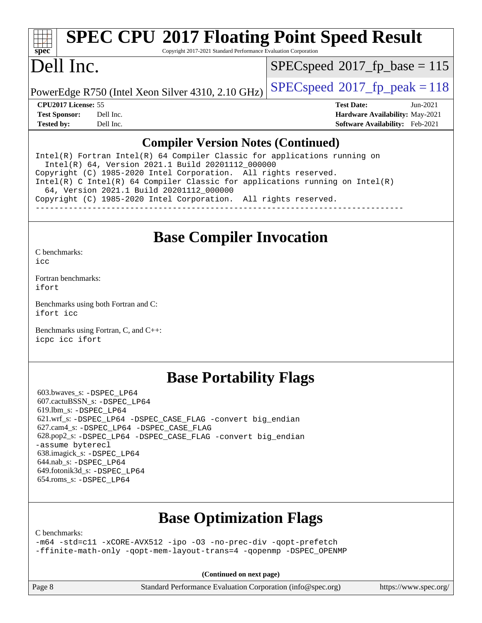# **[spec](http://www.spec.org/)**

# **[SPEC CPU](http://www.spec.org/auto/cpu2017/Docs/result-fields.html#SPECCPU2017FloatingPointSpeedResult)[2017 Floating Point Speed Result](http://www.spec.org/auto/cpu2017/Docs/result-fields.html#SPECCPU2017FloatingPointSpeedResult)**

Copyright 2017-2021 Standard Performance Evaluation Corporation

## Dell Inc.

[SPECspeed](http://www.spec.org/auto/cpu2017/Docs/result-fields.html#SPECspeed2017fpbase)<sup>®</sup>2017 fp base = 115

PowerEdge R750 (Intel Xeon Silver 4310, 2.10 GHz)  $\left|$  [SPECspeed](http://www.spec.org/auto/cpu2017/Docs/result-fields.html#SPECspeed2017fppeak)®[2017\\_fp\\_peak = 1](http://www.spec.org/auto/cpu2017/Docs/result-fields.html#SPECspeed2017fppeak)18

**[CPU2017 License:](http://www.spec.org/auto/cpu2017/Docs/result-fields.html#CPU2017License)** 55 **[Test Date:](http://www.spec.org/auto/cpu2017/Docs/result-fields.html#TestDate)** Jun-2021 **[Test Sponsor:](http://www.spec.org/auto/cpu2017/Docs/result-fields.html#TestSponsor)** Dell Inc. **[Hardware Availability:](http://www.spec.org/auto/cpu2017/Docs/result-fields.html#HardwareAvailability)** May-2021 **[Tested by:](http://www.spec.org/auto/cpu2017/Docs/result-fields.html#Testedby)** Dell Inc. **[Software Availability:](http://www.spec.org/auto/cpu2017/Docs/result-fields.html#SoftwareAvailability)** Feb-2021

### **[Compiler Version Notes \(Continued\)](http://www.spec.org/auto/cpu2017/Docs/result-fields.html#CompilerVersionNotes)**

Intel(R) Fortran Intel(R) 64 Compiler Classic for applications running on Intel(R) 64, Version 2021.1 Build 20201112\_000000 Copyright (C) 1985-2020 Intel Corporation. All rights reserved. Intel(R) C Intel(R) 64 Compiler Classic for applications running on Intel(R) 64, Version 2021.1 Build 20201112\_000000 Copyright (C) 1985-2020 Intel Corporation. All rights reserved. ------------------------------------------------------------------------------

## **[Base Compiler Invocation](http://www.spec.org/auto/cpu2017/Docs/result-fields.html#BaseCompilerInvocation)**

[C benchmarks](http://www.spec.org/auto/cpu2017/Docs/result-fields.html#Cbenchmarks):

[icc](http://www.spec.org/cpu2017/results/res2021q3/cpu2017-20210705-27836.flags.html#user_CCbase_intel_icc_66fc1ee009f7361af1fbd72ca7dcefbb700085f36577c54f309893dd4ec40d12360134090235512931783d35fd58c0460139e722d5067c5574d8eaf2b3e37e92)

[Fortran benchmarks](http://www.spec.org/auto/cpu2017/Docs/result-fields.html#Fortranbenchmarks): [ifort](http://www.spec.org/cpu2017/results/res2021q3/cpu2017-20210705-27836.flags.html#user_FCbase_intel_ifort_8111460550e3ca792625aed983ce982f94888b8b503583aa7ba2b8303487b4d8a21a13e7191a45c5fd58ff318f48f9492884d4413fa793fd88dd292cad7027ca)

[Benchmarks using both Fortran and C](http://www.spec.org/auto/cpu2017/Docs/result-fields.html#BenchmarksusingbothFortranandC): [ifort](http://www.spec.org/cpu2017/results/res2021q3/cpu2017-20210705-27836.flags.html#user_CC_FCbase_intel_ifort_8111460550e3ca792625aed983ce982f94888b8b503583aa7ba2b8303487b4d8a21a13e7191a45c5fd58ff318f48f9492884d4413fa793fd88dd292cad7027ca) [icc](http://www.spec.org/cpu2017/results/res2021q3/cpu2017-20210705-27836.flags.html#user_CC_FCbase_intel_icc_66fc1ee009f7361af1fbd72ca7dcefbb700085f36577c54f309893dd4ec40d12360134090235512931783d35fd58c0460139e722d5067c5574d8eaf2b3e37e92)

[Benchmarks using Fortran, C, and C++:](http://www.spec.org/auto/cpu2017/Docs/result-fields.html#BenchmarksusingFortranCandCXX) [icpc](http://www.spec.org/cpu2017/results/res2021q3/cpu2017-20210705-27836.flags.html#user_CC_CXX_FCbase_intel_icpc_c510b6838c7f56d33e37e94d029a35b4a7bccf4766a728ee175e80a419847e808290a9b78be685c44ab727ea267ec2f070ec5dc83b407c0218cded6866a35d07) [icc](http://www.spec.org/cpu2017/results/res2021q3/cpu2017-20210705-27836.flags.html#user_CC_CXX_FCbase_intel_icc_66fc1ee009f7361af1fbd72ca7dcefbb700085f36577c54f309893dd4ec40d12360134090235512931783d35fd58c0460139e722d5067c5574d8eaf2b3e37e92) [ifort](http://www.spec.org/cpu2017/results/res2021q3/cpu2017-20210705-27836.flags.html#user_CC_CXX_FCbase_intel_ifort_8111460550e3ca792625aed983ce982f94888b8b503583aa7ba2b8303487b4d8a21a13e7191a45c5fd58ff318f48f9492884d4413fa793fd88dd292cad7027ca)

## **[Base Portability Flags](http://www.spec.org/auto/cpu2017/Docs/result-fields.html#BasePortabilityFlags)**

 603.bwaves\_s: [-DSPEC\\_LP64](http://www.spec.org/cpu2017/results/res2021q3/cpu2017-20210705-27836.flags.html#suite_basePORTABILITY603_bwaves_s_DSPEC_LP64) 607.cactuBSSN\_s: [-DSPEC\\_LP64](http://www.spec.org/cpu2017/results/res2021q3/cpu2017-20210705-27836.flags.html#suite_basePORTABILITY607_cactuBSSN_s_DSPEC_LP64) 619.lbm\_s: [-DSPEC\\_LP64](http://www.spec.org/cpu2017/results/res2021q3/cpu2017-20210705-27836.flags.html#suite_basePORTABILITY619_lbm_s_DSPEC_LP64) 621.wrf\_s: [-DSPEC\\_LP64](http://www.spec.org/cpu2017/results/res2021q3/cpu2017-20210705-27836.flags.html#suite_basePORTABILITY621_wrf_s_DSPEC_LP64) [-DSPEC\\_CASE\\_FLAG](http://www.spec.org/cpu2017/results/res2021q3/cpu2017-20210705-27836.flags.html#b621.wrf_s_baseCPORTABILITY_DSPEC_CASE_FLAG) [-convert big\\_endian](http://www.spec.org/cpu2017/results/res2021q3/cpu2017-20210705-27836.flags.html#user_baseFPORTABILITY621_wrf_s_convert_big_endian_c3194028bc08c63ac5d04de18c48ce6d347e4e562e8892b8bdbdc0214820426deb8554edfa529a3fb25a586e65a3d812c835984020483e7e73212c4d31a38223) 627.cam4\_s: [-DSPEC\\_LP64](http://www.spec.org/cpu2017/results/res2021q3/cpu2017-20210705-27836.flags.html#suite_basePORTABILITY627_cam4_s_DSPEC_LP64) [-DSPEC\\_CASE\\_FLAG](http://www.spec.org/cpu2017/results/res2021q3/cpu2017-20210705-27836.flags.html#b627.cam4_s_baseCPORTABILITY_DSPEC_CASE_FLAG) 628.pop2\_s: [-DSPEC\\_LP64](http://www.spec.org/cpu2017/results/res2021q3/cpu2017-20210705-27836.flags.html#suite_basePORTABILITY628_pop2_s_DSPEC_LP64) [-DSPEC\\_CASE\\_FLAG](http://www.spec.org/cpu2017/results/res2021q3/cpu2017-20210705-27836.flags.html#b628.pop2_s_baseCPORTABILITY_DSPEC_CASE_FLAG) [-convert big\\_endian](http://www.spec.org/cpu2017/results/res2021q3/cpu2017-20210705-27836.flags.html#user_baseFPORTABILITY628_pop2_s_convert_big_endian_c3194028bc08c63ac5d04de18c48ce6d347e4e562e8892b8bdbdc0214820426deb8554edfa529a3fb25a586e65a3d812c835984020483e7e73212c4d31a38223) [-assume byterecl](http://www.spec.org/cpu2017/results/res2021q3/cpu2017-20210705-27836.flags.html#user_baseFPORTABILITY628_pop2_s_assume_byterecl_7e47d18b9513cf18525430bbf0f2177aa9bf368bc7a059c09b2c06a34b53bd3447c950d3f8d6c70e3faf3a05c8557d66a5798b567902e8849adc142926523472) 638.imagick\_s: [-DSPEC\\_LP64](http://www.spec.org/cpu2017/results/res2021q3/cpu2017-20210705-27836.flags.html#suite_basePORTABILITY638_imagick_s_DSPEC_LP64) 644.nab\_s: [-DSPEC\\_LP64](http://www.spec.org/cpu2017/results/res2021q3/cpu2017-20210705-27836.flags.html#suite_basePORTABILITY644_nab_s_DSPEC_LP64) 649.fotonik3d\_s: [-DSPEC\\_LP64](http://www.spec.org/cpu2017/results/res2021q3/cpu2017-20210705-27836.flags.html#suite_basePORTABILITY649_fotonik3d_s_DSPEC_LP64) 654.roms\_s: [-DSPEC\\_LP64](http://www.spec.org/cpu2017/results/res2021q3/cpu2017-20210705-27836.flags.html#suite_basePORTABILITY654_roms_s_DSPEC_LP64)

## **[Base Optimization Flags](http://www.spec.org/auto/cpu2017/Docs/result-fields.html#BaseOptimizationFlags)**

[C benchmarks](http://www.spec.org/auto/cpu2017/Docs/result-fields.html#Cbenchmarks):

[-m64](http://www.spec.org/cpu2017/results/res2021q3/cpu2017-20210705-27836.flags.html#user_CCbase_m64-icc) [-std=c11](http://www.spec.org/cpu2017/results/res2021q3/cpu2017-20210705-27836.flags.html#user_CCbase_std-icc-std_0e1c27790398a4642dfca32ffe6c27b5796f9c2d2676156f2e42c9c44eaad0c049b1cdb667a270c34d979996257aeb8fc440bfb01818dbc9357bd9d174cb8524) [-xCORE-AVX512](http://www.spec.org/cpu2017/results/res2021q3/cpu2017-20210705-27836.flags.html#user_CCbase_f-xCORE-AVX512) [-ipo](http://www.spec.org/cpu2017/results/res2021q3/cpu2017-20210705-27836.flags.html#user_CCbase_f-ipo) [-O3](http://www.spec.org/cpu2017/results/res2021q3/cpu2017-20210705-27836.flags.html#user_CCbase_f-O3) [-no-prec-div](http://www.spec.org/cpu2017/results/res2021q3/cpu2017-20210705-27836.flags.html#user_CCbase_f-no-prec-div) [-qopt-prefetch](http://www.spec.org/cpu2017/results/res2021q3/cpu2017-20210705-27836.flags.html#user_CCbase_f-qopt-prefetch) [-ffinite-math-only](http://www.spec.org/cpu2017/results/res2021q3/cpu2017-20210705-27836.flags.html#user_CCbase_f_finite_math_only_cb91587bd2077682c4b38af759c288ed7c732db004271a9512da14a4f8007909a5f1427ecbf1a0fb78ff2a814402c6114ac565ca162485bbcae155b5e4258871) [-qopt-mem-layout-trans=4](http://www.spec.org/cpu2017/results/res2021q3/cpu2017-20210705-27836.flags.html#user_CCbase_f-qopt-mem-layout-trans_fa39e755916c150a61361b7846f310bcdf6f04e385ef281cadf3647acec3f0ae266d1a1d22d972a7087a248fd4e6ca390a3634700869573d231a252c784941a8) [-qopenmp](http://www.spec.org/cpu2017/results/res2021q3/cpu2017-20210705-27836.flags.html#user_CCbase_qopenmp_16be0c44f24f464004c6784a7acb94aca937f053568ce72f94b139a11c7c168634a55f6653758ddd83bcf7b8463e8028bb0b48b77bcddc6b78d5d95bb1df2967) [-DSPEC\\_OPENMP](http://www.spec.org/cpu2017/results/res2021q3/cpu2017-20210705-27836.flags.html#suite_CCbase_DSPEC_OPENMP)

**(Continued on next page)**

Page 8 Standard Performance Evaluation Corporation [\(info@spec.org\)](mailto:info@spec.org) <https://www.spec.org/>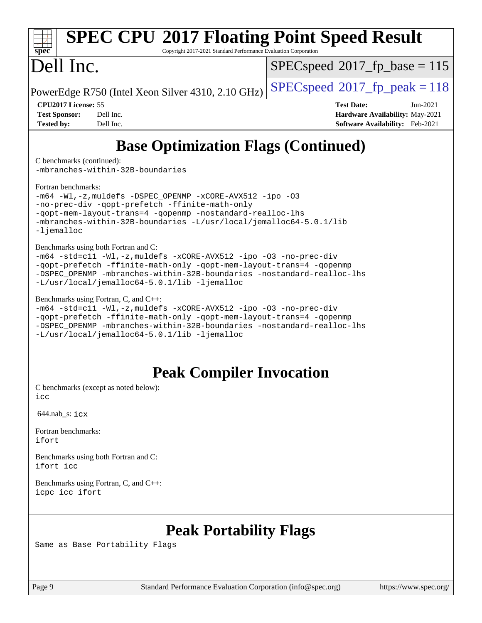

# **[SPEC CPU](http://www.spec.org/auto/cpu2017/Docs/result-fields.html#SPECCPU2017FloatingPointSpeedResult)[2017 Floating Point Speed Result](http://www.spec.org/auto/cpu2017/Docs/result-fields.html#SPECCPU2017FloatingPointSpeedResult)**

Copyright 2017-2021 Standard Performance Evaluation Corporation

## Dell Inc.

[SPECspeed](http://www.spec.org/auto/cpu2017/Docs/result-fields.html#SPECspeed2017fpbase)<sup>®</sup>2017 fp base = 115

PowerEdge R750 (Intel Xeon Silver 4310, 2.10 GHz)  $\left|$  [SPECspeed](http://www.spec.org/auto/cpu2017/Docs/result-fields.html#SPECspeed2017fppeak)®[2017\\_fp\\_peak = 1](http://www.spec.org/auto/cpu2017/Docs/result-fields.html#SPECspeed2017fppeak)18

**[CPU2017 License:](http://www.spec.org/auto/cpu2017/Docs/result-fields.html#CPU2017License)** 55 **[Test Date:](http://www.spec.org/auto/cpu2017/Docs/result-fields.html#TestDate)** Jun-2021 **[Test Sponsor:](http://www.spec.org/auto/cpu2017/Docs/result-fields.html#TestSponsor)** Dell Inc. **[Hardware Availability:](http://www.spec.org/auto/cpu2017/Docs/result-fields.html#HardwareAvailability)** May-2021 **[Tested by:](http://www.spec.org/auto/cpu2017/Docs/result-fields.html#Testedby)** Dell Inc. **[Software Availability:](http://www.spec.org/auto/cpu2017/Docs/result-fields.html#SoftwareAvailability)** Feb-2021

## **[Base Optimization Flags \(Continued\)](http://www.spec.org/auto/cpu2017/Docs/result-fields.html#BaseOptimizationFlags)**

[C benchmarks](http://www.spec.org/auto/cpu2017/Docs/result-fields.html#Cbenchmarks) (continued):

[-mbranches-within-32B-boundaries](http://www.spec.org/cpu2017/results/res2021q3/cpu2017-20210705-27836.flags.html#user_CCbase_f-mbranches-within-32B-boundaries)

[Fortran benchmarks](http://www.spec.org/auto/cpu2017/Docs/result-fields.html#Fortranbenchmarks):

```
-m64 -Wl,-z,muldefs -DSPEC_OPENMP -xCORE-AVX512 -ipo -O3
-no-prec-div -qopt-prefetch -ffinite-math-only
-qopt-mem-layout-trans=4 -qopenmp -nostandard-realloc-lhs
-mbranches-within-32B-boundaries -L/usr/local/jemalloc64-5.0.1/lib
-ljemalloc
```
[Benchmarks using both Fortran and C](http://www.spec.org/auto/cpu2017/Docs/result-fields.html#BenchmarksusingbothFortranandC):

```
-m64 -std=c11 -Wl,-z,muldefs -xCORE-AVX512 -ipo -O3 -no-prec-div
-qopt-prefetch -ffinite-math-only -qopt-mem-layout-trans=4 -qopenmp
-DSPEC_OPENMP -mbranches-within-32B-boundaries -nostandard-realloc-lhs
-L/usr/local/jemalloc64-5.0.1/lib -ljemalloc
```
#### [Benchmarks using Fortran, C, and C++:](http://www.spec.org/auto/cpu2017/Docs/result-fields.html#BenchmarksusingFortranCandCXX)

[-m64](http://www.spec.org/cpu2017/results/res2021q3/cpu2017-20210705-27836.flags.html#user_CC_CXX_FCbase_m64-icc) [-std=c11](http://www.spec.org/cpu2017/results/res2021q3/cpu2017-20210705-27836.flags.html#user_CC_CXX_FCbase_std-icc-std_0e1c27790398a4642dfca32ffe6c27b5796f9c2d2676156f2e42c9c44eaad0c049b1cdb667a270c34d979996257aeb8fc440bfb01818dbc9357bd9d174cb8524) [-Wl,-z,muldefs](http://www.spec.org/cpu2017/results/res2021q3/cpu2017-20210705-27836.flags.html#user_CC_CXX_FCbase_link_force_multiple1_b4cbdb97b34bdee9ceefcfe54f4c8ea74255f0b02a4b23e853cdb0e18eb4525ac79b5a88067c842dd0ee6996c24547a27a4b99331201badda8798ef8a743f577) [-xCORE-AVX512](http://www.spec.org/cpu2017/results/res2021q3/cpu2017-20210705-27836.flags.html#user_CC_CXX_FCbase_f-xCORE-AVX512) [-ipo](http://www.spec.org/cpu2017/results/res2021q3/cpu2017-20210705-27836.flags.html#user_CC_CXX_FCbase_f-ipo) [-O3](http://www.spec.org/cpu2017/results/res2021q3/cpu2017-20210705-27836.flags.html#user_CC_CXX_FCbase_f-O3) [-no-prec-div](http://www.spec.org/cpu2017/results/res2021q3/cpu2017-20210705-27836.flags.html#user_CC_CXX_FCbase_f-no-prec-div) [-qopt-prefetch](http://www.spec.org/cpu2017/results/res2021q3/cpu2017-20210705-27836.flags.html#user_CC_CXX_FCbase_f-qopt-prefetch) [-ffinite-math-only](http://www.spec.org/cpu2017/results/res2021q3/cpu2017-20210705-27836.flags.html#user_CC_CXX_FCbase_f_finite_math_only_cb91587bd2077682c4b38af759c288ed7c732db004271a9512da14a4f8007909a5f1427ecbf1a0fb78ff2a814402c6114ac565ca162485bbcae155b5e4258871) [-qopt-mem-layout-trans=4](http://www.spec.org/cpu2017/results/res2021q3/cpu2017-20210705-27836.flags.html#user_CC_CXX_FCbase_f-qopt-mem-layout-trans_fa39e755916c150a61361b7846f310bcdf6f04e385ef281cadf3647acec3f0ae266d1a1d22d972a7087a248fd4e6ca390a3634700869573d231a252c784941a8) [-qopenmp](http://www.spec.org/cpu2017/results/res2021q3/cpu2017-20210705-27836.flags.html#user_CC_CXX_FCbase_qopenmp_16be0c44f24f464004c6784a7acb94aca937f053568ce72f94b139a11c7c168634a55f6653758ddd83bcf7b8463e8028bb0b48b77bcddc6b78d5d95bb1df2967) [-DSPEC\\_OPENMP](http://www.spec.org/cpu2017/results/res2021q3/cpu2017-20210705-27836.flags.html#suite_CC_CXX_FCbase_DSPEC_OPENMP) [-mbranches-within-32B-boundaries](http://www.spec.org/cpu2017/results/res2021q3/cpu2017-20210705-27836.flags.html#user_CC_CXX_FCbase_f-mbranches-within-32B-boundaries) [-nostandard-realloc-lhs](http://www.spec.org/cpu2017/results/res2021q3/cpu2017-20210705-27836.flags.html#user_CC_CXX_FCbase_f_2003_std_realloc_82b4557e90729c0f113870c07e44d33d6f5a304b4f63d4c15d2d0f1fab99f5daaed73bdb9275d9ae411527f28b936061aa8b9c8f2d63842963b95c9dd6426b8a) [-L/usr/local/jemalloc64-5.0.1/lib](http://www.spec.org/cpu2017/results/res2021q3/cpu2017-20210705-27836.flags.html#user_CC_CXX_FCbase_jemalloc_link_path64_1_cc289568b1a6c0fd3b62c91b824c27fcb5af5e8098e6ad028160d21144ef1b8aef3170d2acf0bee98a8da324cfe4f67d0a3d0c4cc4673d993d694dc2a0df248b) [-ljemalloc](http://www.spec.org/cpu2017/results/res2021q3/cpu2017-20210705-27836.flags.html#user_CC_CXX_FCbase_jemalloc_link_lib_d1249b907c500fa1c0672f44f562e3d0f79738ae9e3c4a9c376d49f265a04b9c99b167ecedbf6711b3085be911c67ff61f150a17b3472be731631ba4d0471706)

## **[Peak Compiler Invocation](http://www.spec.org/auto/cpu2017/Docs/result-fields.html#PeakCompilerInvocation)**

[C benchmarks \(except as noted below\)](http://www.spec.org/auto/cpu2017/Docs/result-fields.html#Cbenchmarksexceptasnotedbelow): [icc](http://www.spec.org/cpu2017/results/res2021q3/cpu2017-20210705-27836.flags.html#user_CCpeak_intel_icc_66fc1ee009f7361af1fbd72ca7dcefbb700085f36577c54f309893dd4ec40d12360134090235512931783d35fd58c0460139e722d5067c5574d8eaf2b3e37e92)

644.nab\_s: [icx](http://www.spec.org/cpu2017/results/res2021q3/cpu2017-20210705-27836.flags.html#user_peakCCLD644_nab_s_intel_icx_fe2d28d19ae2a5db7c42fe0f2a2aed77cb715edd4aeb23434404a8be6683fe239869bb6ca8154ca98265c2e3b9226a719a0efe2953a4a7018c379b7010ccf087)

[Fortran benchmarks](http://www.spec.org/auto/cpu2017/Docs/result-fields.html#Fortranbenchmarks): [ifort](http://www.spec.org/cpu2017/results/res2021q3/cpu2017-20210705-27836.flags.html#user_FCpeak_intel_ifort_8111460550e3ca792625aed983ce982f94888b8b503583aa7ba2b8303487b4d8a21a13e7191a45c5fd58ff318f48f9492884d4413fa793fd88dd292cad7027ca)

[Benchmarks using both Fortran and C](http://www.spec.org/auto/cpu2017/Docs/result-fields.html#BenchmarksusingbothFortranandC): [ifort](http://www.spec.org/cpu2017/results/res2021q3/cpu2017-20210705-27836.flags.html#user_CC_FCpeak_intel_ifort_8111460550e3ca792625aed983ce982f94888b8b503583aa7ba2b8303487b4d8a21a13e7191a45c5fd58ff318f48f9492884d4413fa793fd88dd292cad7027ca) [icc](http://www.spec.org/cpu2017/results/res2021q3/cpu2017-20210705-27836.flags.html#user_CC_FCpeak_intel_icc_66fc1ee009f7361af1fbd72ca7dcefbb700085f36577c54f309893dd4ec40d12360134090235512931783d35fd58c0460139e722d5067c5574d8eaf2b3e37e92)

[Benchmarks using Fortran, C, and C++:](http://www.spec.org/auto/cpu2017/Docs/result-fields.html#BenchmarksusingFortranCandCXX) [icpc](http://www.spec.org/cpu2017/results/res2021q3/cpu2017-20210705-27836.flags.html#user_CC_CXX_FCpeak_intel_icpc_c510b6838c7f56d33e37e94d029a35b4a7bccf4766a728ee175e80a419847e808290a9b78be685c44ab727ea267ec2f070ec5dc83b407c0218cded6866a35d07) [icc](http://www.spec.org/cpu2017/results/res2021q3/cpu2017-20210705-27836.flags.html#user_CC_CXX_FCpeak_intel_icc_66fc1ee009f7361af1fbd72ca7dcefbb700085f36577c54f309893dd4ec40d12360134090235512931783d35fd58c0460139e722d5067c5574d8eaf2b3e37e92) [ifort](http://www.spec.org/cpu2017/results/res2021q3/cpu2017-20210705-27836.flags.html#user_CC_CXX_FCpeak_intel_ifort_8111460550e3ca792625aed983ce982f94888b8b503583aa7ba2b8303487b4d8a21a13e7191a45c5fd58ff318f48f9492884d4413fa793fd88dd292cad7027ca)

## **[Peak Portability Flags](http://www.spec.org/auto/cpu2017/Docs/result-fields.html#PeakPortabilityFlags)**

Same as Base Portability Flags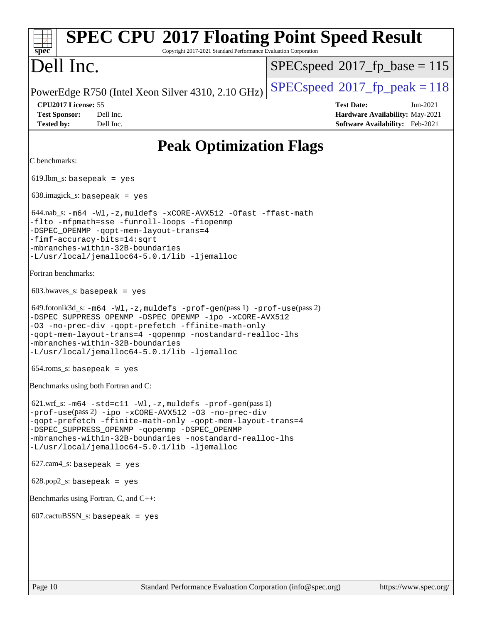| <b>SPEC CPU®2017 Floating Point Speed Result</b><br>Copyright 2017-2021 Standard Performance Evaluation Corporation<br>spec <sup>®</sup>                                                                                                                                                                                                                        |                                                                                                       |
|-----------------------------------------------------------------------------------------------------------------------------------------------------------------------------------------------------------------------------------------------------------------------------------------------------------------------------------------------------------------|-------------------------------------------------------------------------------------------------------|
| Dell Inc.                                                                                                                                                                                                                                                                                                                                                       | $SPEC speed^{\circ}2017\_fp\_base = 115$                                                              |
| PowerEdge R750 (Intel Xeon Silver 4310, 2.10 GHz)                                                                                                                                                                                                                                                                                                               | $SPEC speed^{\circ}2017$ fp peak = 118                                                                |
| CPU2017 License: 55<br><b>Test Sponsor:</b><br>Dell Inc.<br><b>Tested by:</b><br>Dell Inc.                                                                                                                                                                                                                                                                      | <b>Test Date:</b><br>$Jun-2021$<br>Hardware Availability: May-2021<br>Software Availability: Feb-2021 |
| <b>Peak Optimization Flags</b>                                                                                                                                                                                                                                                                                                                                  |                                                                                                       |
| C benchmarks:                                                                                                                                                                                                                                                                                                                                                   |                                                                                                       |
| $619$ .lbm_s: basepeak = yes                                                                                                                                                                                                                                                                                                                                    |                                                                                                       |
| $638.\text{imagek}_s:$ basepeak = yes                                                                                                                                                                                                                                                                                                                           |                                                                                                       |
| $644.nab$ _s: $-m64$ $-Wl$ , $-z$ , muldefs $-xCORE$ -AVX512 $-0$ fast $-f$ fast-math<br>-flto -mfpmath=sse -funroll-loops -fiopenmp<br>-DSPEC_OPENMP -qopt-mem-layout-trans=4<br>-fimf-accuracy-bits=14:sqrt<br>-mbranches-within-32B-boundaries<br>-L/usr/local/jemalloc64-5.0.1/lib -ljemalloc                                                               |                                                                                                       |
| Fortran benchmarks:                                                                                                                                                                                                                                                                                                                                             |                                                                                                       |
| $603.bwaves$ s: basepeak = yes                                                                                                                                                                                                                                                                                                                                  |                                                                                                       |
| $649.$ fotonik $3d$ _s: $-m64$ $-W1$ , $-z$ , muldefs $-prof-gen(pass 1)$ $-prof-use(pass 2)$<br>-DSPEC_SUPPRESS_OPENMP -DSPEC_OPENMP -ipo -xCORE-AVX512<br>-03 -no-prec-div -qopt-prefetch -ffinite-math-only<br>-qopt-mem-layout-trans=4 -qopenmp -nostandard-realloc-lhs<br>-mbranches-within-32B-boundaries<br>-L/usr/local/jemalloc64-5.0.1/lib -ljemalloc |                                                                                                       |
| $654$ .roms_s: basepeak = yes                                                                                                                                                                                                                                                                                                                                   |                                                                                                       |
| Benchmarks using both Fortran and C:                                                                                                                                                                                                                                                                                                                            |                                                                                                       |
| $621.wrf_s$ : $-m64 - std = c11 - Wl$ , $-z$ , muldefs $-prof-gen(pass 1)$<br>-prof-use(pass 2) -ipo -xCORE-AVX512 -03 -no-prec-div<br>-qopt-prefetch -ffinite-math-only -qopt-mem-layout-trans=4<br>-DSPEC_SUPPRESS_OPENMP -qopenmp -DSPEC_OPENMP<br>-mbranches-within-32B-boundaries -nostandard-realloc-lhs<br>-L/usr/local/jemalloc64-5.0.1/lib -ljemalloc  |                                                                                                       |
| $627.cam4_s$ : basepeak = yes                                                                                                                                                                                                                                                                                                                                   |                                                                                                       |
| $628.pop2_s: basepeak = yes$                                                                                                                                                                                                                                                                                                                                    |                                                                                                       |
| Benchmarks using Fortran, C, and C++:                                                                                                                                                                                                                                                                                                                           |                                                                                                       |
| $607.cactuBSSN_s$ : basepeak = yes                                                                                                                                                                                                                                                                                                                              |                                                                                                       |
|                                                                                                                                                                                                                                                                                                                                                                 |                                                                                                       |